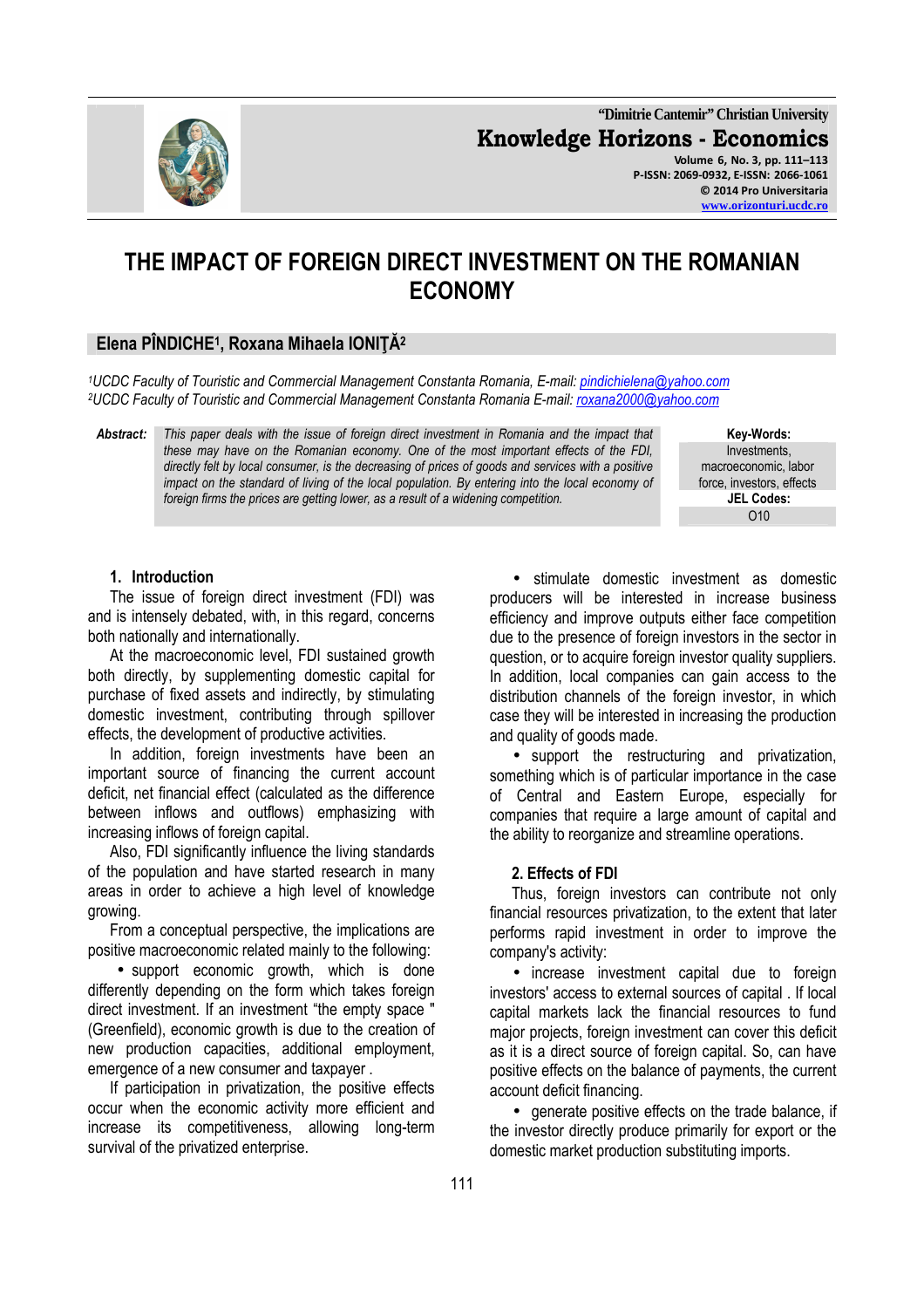**"Dimitrie Cantemir" Christian University Knowledge Horizons - Economics Volume 6, No. 3, pp. 111–113 P-ISSN: 2069-0932, E-ISSN: 2066-1061 © 2014 Pro Universitaria** 

# **THE IMPACT OF FOREIGN DIRECT INVESTMENT ON THE ROMANIAN ECONOMY**

## **Elena PÎNDICHE<sup>1</sup> , Roxana Mihaela IONIŢĂ<sup>2</sup>**

*<sup>1</sup>UCDC Faculty of Touristic and Commercial Management Constanta Romania, E-mail: pindichielena@yahoo.com <sup>2</sup>UCDC Faculty of Touristic and Commercial Management Constanta Romania E-mail: roxana2000@yahoo.com*

*Abstract: This paper deals with the issue of foreign direct investment in Romania and the impact that these may have on the Romanian economy. One of the most important effects of the FDI, directly felt by local consumer, is the decreasing of prices of goods and services with a positive impact on the standard of living of the local population. By entering into the local economy of foreign firms the prices are getting lower, as a result of a widening competition.*

**Key-Words:** Investments, macroeconomic, labor force, investors, effects **JEL Codes:**  O10

#### **1. Introduction**

The issue of foreign direct investment (FDI) was and is intensely debated, with, in this regard, concerns both nationally and internationally.

At the macroeconomic level, FDI sustained growth both directly, by supplementing domestic capital for purchase of fixed assets and indirectly, by stimulating domestic investment, contributing through spillover effects, the development of productive activities.

In addition, foreign investments have been an important source of financing the current account deficit, net financial effect (calculated as the difference between inflows and outflows) emphasizing with increasing inflows of foreign capital.

Also, FDI significantly influence the living standards of the population and have started research in many areas in order to achieve a high level of knowledge growing.

From a conceptual perspective, the implications are positive macroeconomic related mainly to the following:

• support economic growth, which is done differently depending on the form which takes foreign direct investment. If an investment "the empty space " (Greenfield), economic growth is due to the creation of new production capacities, additional employment, emergence of a new consumer and taxpayer .

If participation in privatization, the positive effects occur when the economic activity more efficient and increase its competitiveness, allowing long-term survival of the privatized enterprise.

• stimulate domestic investment as domestic producers will be interested in increase business efficiency and improve outputs either face competition due to the presence of foreign investors in the sector in question, or to acquire foreign investor quality suppliers. In addition, local companies can gain access to the distribution channels of the foreign investor, in which case they will be interested in increasing the production and quality of goods made.

• support the restructuring and privatization, something which is of particular importance in the case of Central and Eastern Europe, especially for companies that require a large amount of capital and the ability to reorganize and streamline operations.

#### **2. Effects of FDI**

Thus, foreign investors can contribute not only financial resources privatization, to the extent that later performs rapid investment in order to improve the company's activity:

• increase investment capital due to foreign investors' access to external sources of capital . If local capital markets lack the financial resources to fund major projects, foreign investment can cover this deficit as it is a direct source of foreign capital. So, can have positive effects on the balance of payments, the current account deficit financing.

• generate positive effects on the trade balance, if the investor directly produce primarily for export or the domestic market production substituting imports.

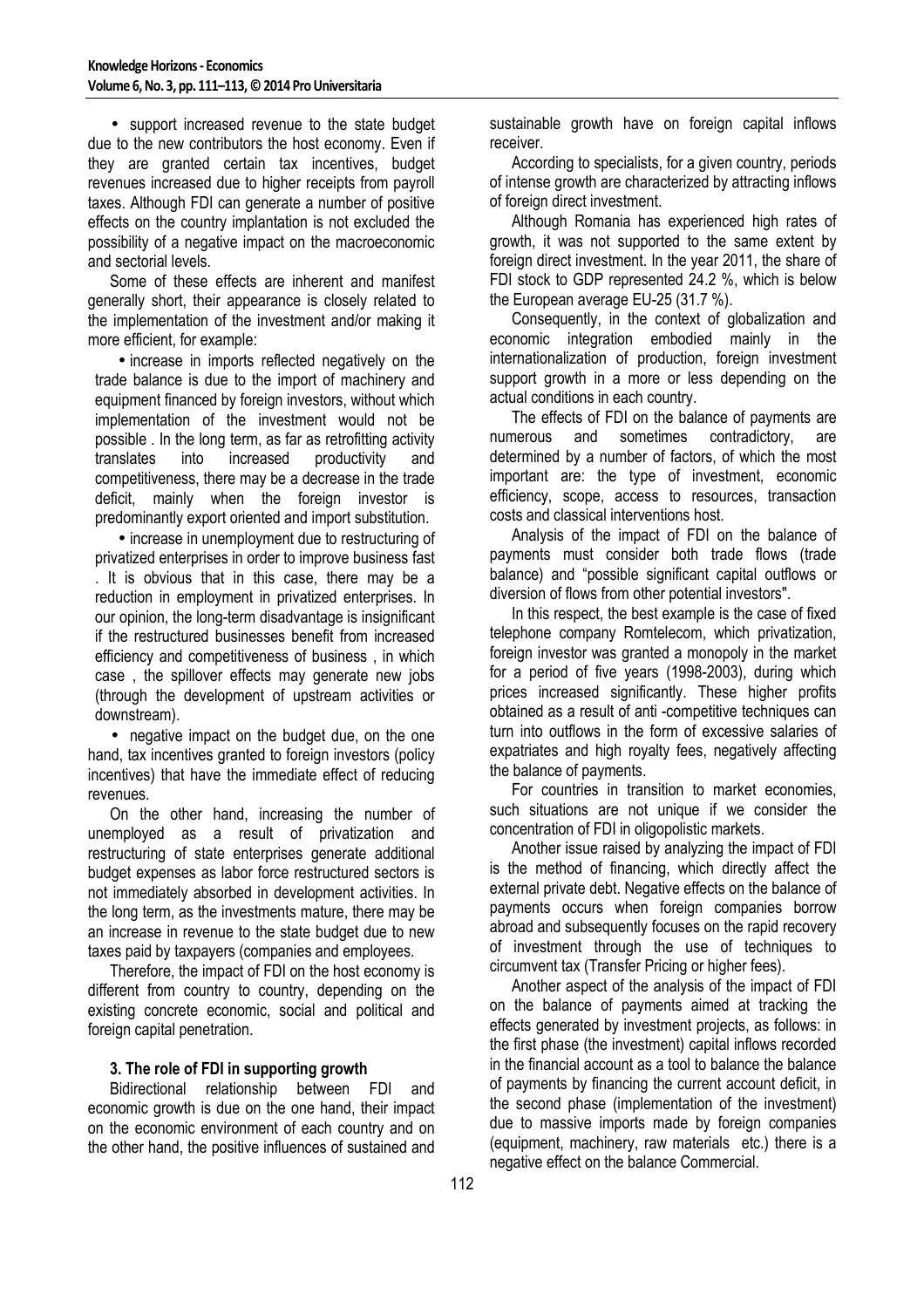• support increased revenue to the state budget due to the new contributors the host economy. Even if they are granted certain tax incentives, budget revenues increased due to higher receipts from payroll taxes. Although FDI can generate a number of positive effects on the country implantation is not excluded the possibility of a negative impact on the macroeconomic and sectorial levels.

Some of these effects are inherent and manifest generally short, their appearance is closely related to the implementation of the investment and/or making it more efficient, for example:

• increase in imports reflected negatively on the trade balance is due to the import of machinery and equipment financed by foreign investors, without which implementation of the investment would not be possible . In the long term, as far as retrofitting activity translates into increased productivity and competitiveness, there may be a decrease in the trade deficit, mainly when the foreign investor is predominantly export oriented and import substitution.

• increase in unemployment due to restructuring of privatized enterprises in order to improve business fast . It is obvious that in this case, there may be a reduction in employment in privatized enterprises. In our opinion, the long-term disadvantage is insignificant if the restructured businesses benefit from increased efficiency and competitiveness of business , in which case , the spillover effects may generate new jobs (through the development of upstream activities or downstream).

• negative impact on the budget due, on the one hand, tax incentives granted to foreign investors (policy incentives) that have the immediate effect of reducing revenues.

On the other hand, increasing the number of unemployed as a result of privatization and restructuring of state enterprises generate additional budget expenses as labor force restructured sectors is not immediately absorbed in development activities. In the long term, as the investments mature, there may be an increase in revenue to the state budget due to new taxes paid by taxpayers (companies and employees.

Therefore, the impact of FDI on the host economy is different from country to country, depending on the existing concrete economic, social and political and foreign capital penetration.

### **3. The role of FDI in supporting growth**

Bidirectional relationship between FDI and economic growth is due on the one hand, their impact on the economic environment of each country and on the other hand, the positive influences of sustained and sustainable growth have on foreign capital inflows receiver.

According to specialists, for a given country, periods of intense growth are characterized by attracting inflows of foreign direct investment.

Although Romania has experienced high rates of growth, it was not supported to the same extent by foreign direct investment. In the year 2011, the share of FDI stock to GDP represented 24.2 %, which is below the European average EU-25 (31.7 %).

Consequently, in the context of globalization and economic integration embodied mainly in the internationalization of production, foreign investment support growth in a more or less depending on the actual conditions in each country.

The effects of FDI on the balance of payments are numerous and sometimes contradictory, are determined by a number of factors, of which the most important are: the type of investment, economic efficiency, scope, access to resources, transaction costs and classical interventions host.

Analysis of the impact of FDI on the balance of payments must consider both trade flows (trade balance) and "possible significant capital outflows or diversion of flows from other potential investors".

In this respect, the best example is the case of fixed telephone company Romtelecom, which privatization, foreign investor was granted a monopoly in the market for a period of five years (1998-2003), during which prices increased significantly. These higher profits obtained as a result of anti -competitive techniques can turn into outflows in the form of excessive salaries of expatriates and high royalty fees, negatively affecting the balance of payments.

For countries in transition to market economies, such situations are not unique if we consider the concentration of FDI in oligopolistic markets.

Another issue raised by analyzing the impact of FDI is the method of financing, which directly affect the external private debt. Negative effects on the balance of payments occurs when foreign companies borrow abroad and subsequently focuses on the rapid recovery of investment through the use of techniques to circumvent tax (Transfer Pricing or higher fees).

Another aspect of the analysis of the impact of FDI on the balance of payments aimed at tracking the effects generated by investment projects, as follows: in the first phase (the investment) capital inflows recorded in the financial account as a tool to balance the balance of payments by financing the current account deficit, in the second phase (implementation of the investment) due to massive imports made by foreign companies (equipment, machinery, raw materials etc.) there is a negative effect on the balance Commercial.